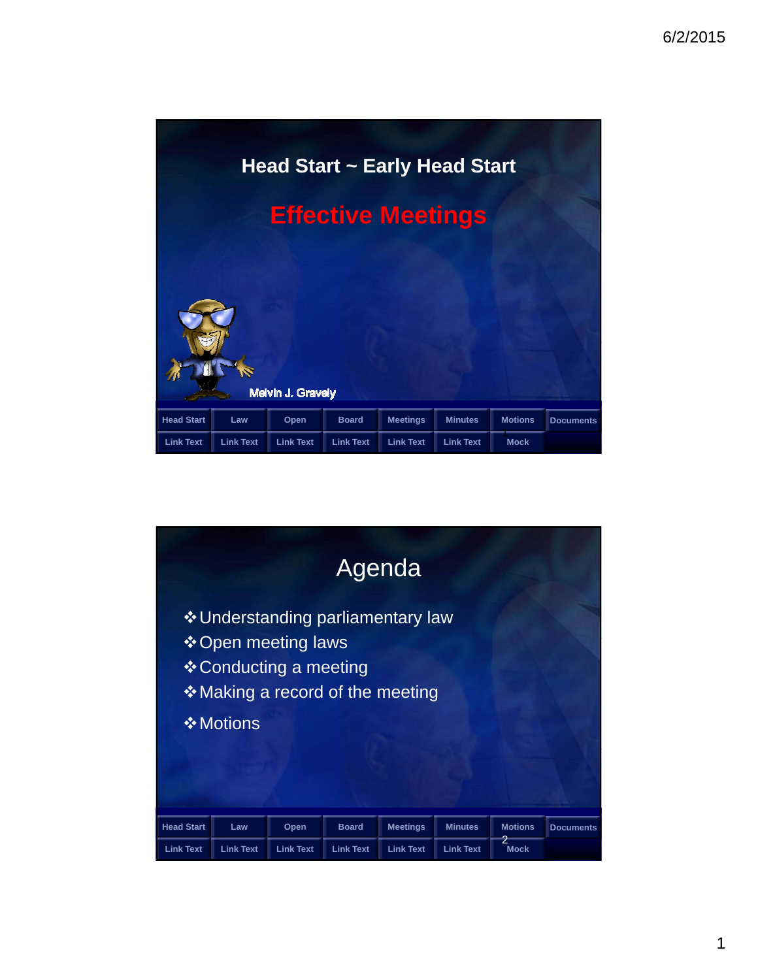

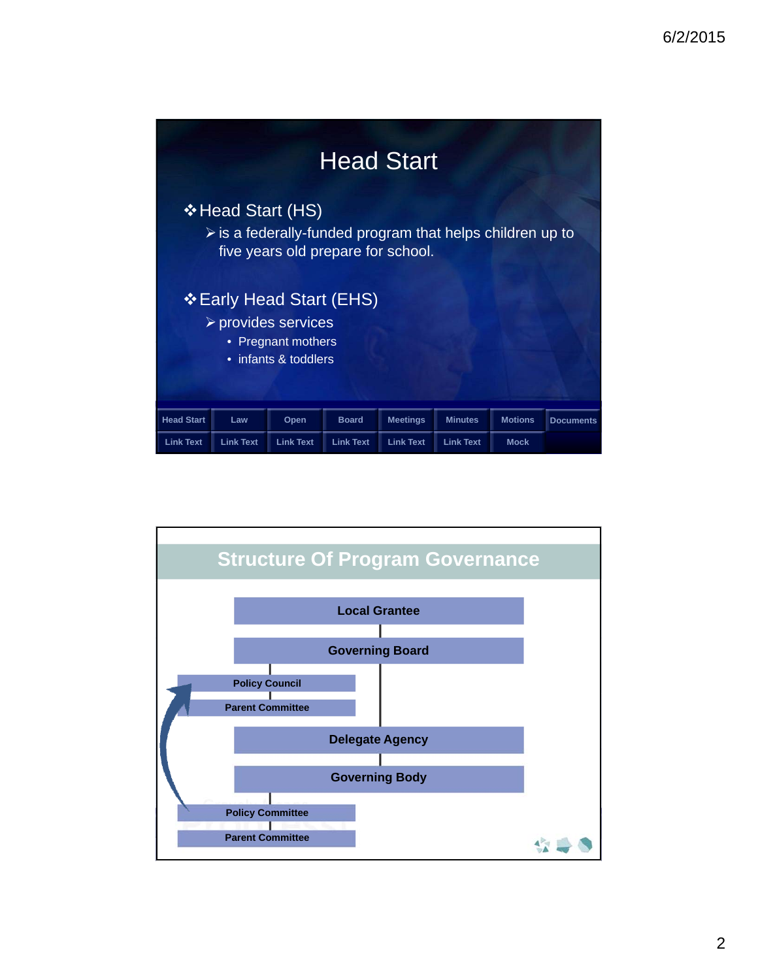

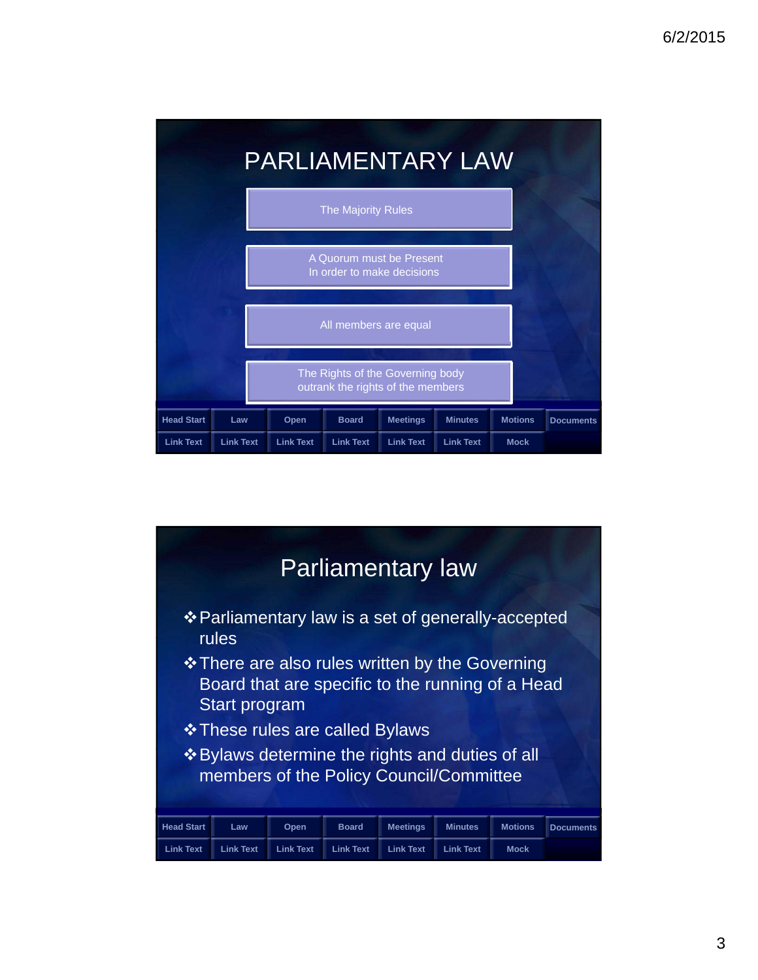

| Parliamentary law                                                                         |                  |                  |                  |                  |                  |                |                  |  |  |
|-------------------------------------------------------------------------------------------|------------------|------------------|------------------|------------------|------------------|----------------|------------------|--|--|
| ❖ Parliamentary law is a set of generally-accepted<br>rules                               |                  |                  |                  |                  |                  |                |                  |  |  |
| Board that are specific to the running of a Head<br>Start program                         |                  |                  |                  |                  |                  |                |                  |  |  |
| <b>❖ These rules are called Bylaws</b><br>❖ Bylaws determine the rights and duties of all |                  |                  |                  |                  |                  |                |                  |  |  |
| members of the Policy Council/Committee                                                   |                  |                  |                  |                  |                  |                |                  |  |  |
|                                                                                           |                  |                  |                  |                  |                  |                |                  |  |  |
| <b>Head Start</b>                                                                         | Law              | Open             | <b>Board</b>     | <b>Meetings</b>  | <b>Minutes</b>   | <b>Motions</b> | <b>Documents</b> |  |  |
| <b>Link Text</b>                                                                          | <b>Link Text</b> | <b>Link Text</b> | <b>Link Text</b> | <b>Link Text</b> | <b>Link Text</b> | <b>Mock</b>    |                  |  |  |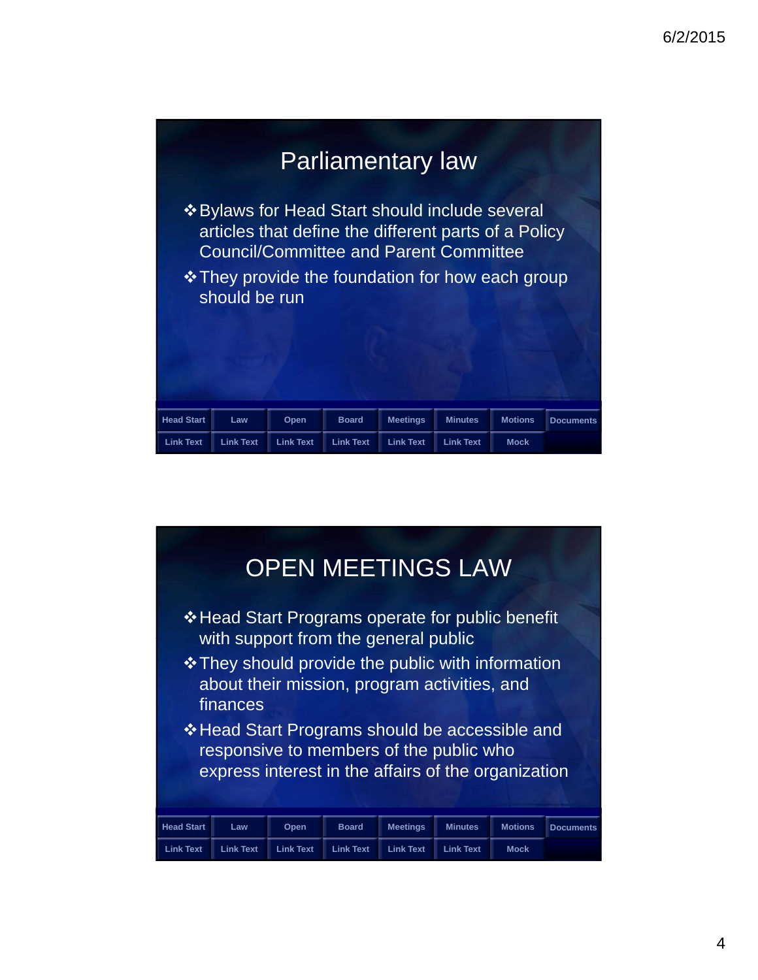

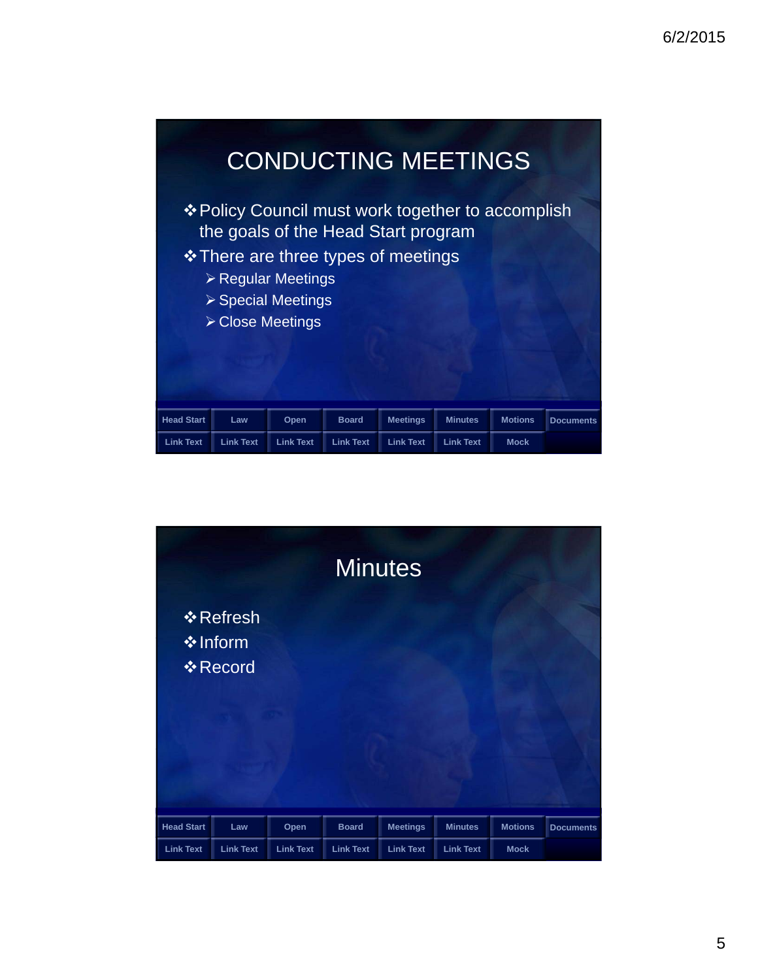

| <b>Minutes</b>    |                                          |                  |                  |                  |                  |                |                  |  |
|-------------------|------------------------------------------|------------------|------------------|------------------|------------------|----------------|------------------|--|
|                   | ❖ Refresh<br>❖ Inform<br><b>❖ Record</b> |                  |                  |                  |                  |                |                  |  |
|                   |                                          |                  |                  |                  |                  |                |                  |  |
| <b>Head Start</b> | Law                                      | Open             | <b>Board</b>     | <b>Meetings</b>  | <b>Minutes</b>   | <b>Motions</b> | <b>Documents</b> |  |
| <b>Link Text</b>  | <b>Link Text</b>                         | <b>Link Text</b> | <b>Link Text</b> | <b>Link Text</b> | <b>Link Text</b> | <b>Mock</b>    |                  |  |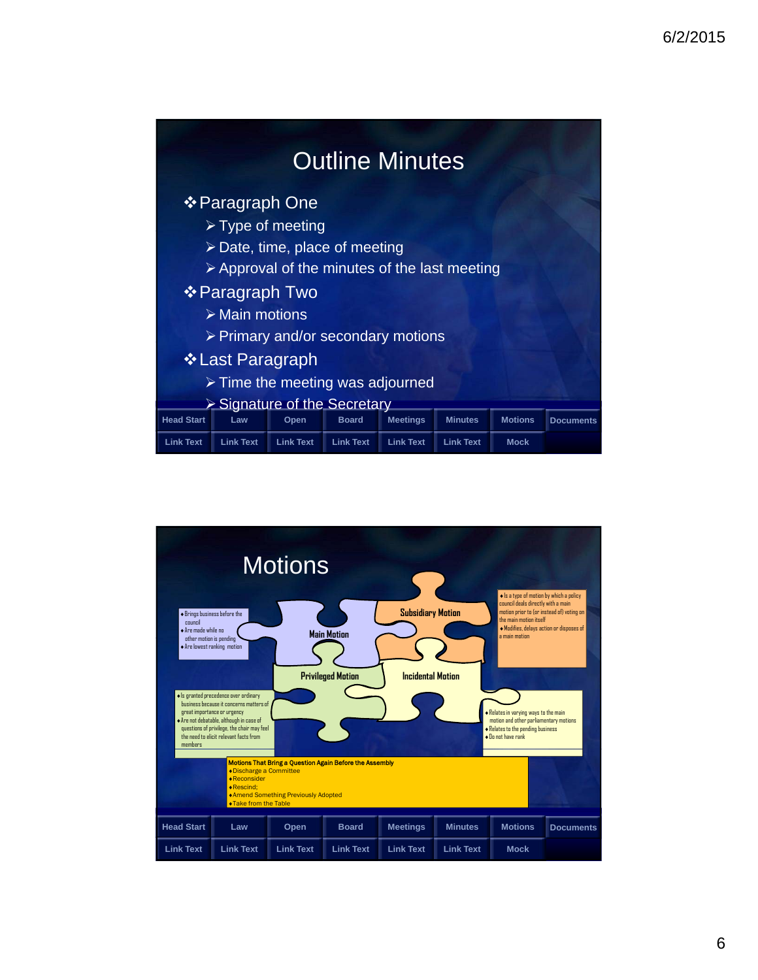| <b>Outline Minutes</b>                                                                         |                  |                  |                  |                  |                  |                |                  |
|------------------------------------------------------------------------------------------------|------------------|------------------|------------------|------------------|------------------|----------------|------------------|
| ❖ Paragraph One                                                                                |                  |                  |                  |                  |                  |                |                  |
| $\triangleright$ Type of meeting                                                               |                  |                  |                  |                  |                  |                |                  |
| $\triangleright$ Date, time, place of meeting                                                  |                  |                  |                  |                  |                  |                |                  |
| > Approval of the minutes of the last meeting                                                  |                  |                  |                  |                  |                  |                |                  |
| ❖ Paragraph Two                                                                                |                  |                  |                  |                  |                  |                |                  |
| $\triangleright$ Main motions                                                                  |                  |                  |                  |                  |                  |                |                  |
| ▶ Primary and/or secondary motions                                                             |                  |                  |                  |                  |                  |                |                  |
| ❖ Last Paragraph                                                                               |                  |                  |                  |                  |                  |                |                  |
| $\triangleright$ Time the meeting was adjourned<br>$\triangleright$ Signature of the Secretary |                  |                  |                  |                  |                  |                |                  |
| <b>Head Start</b>                                                                              | Law              | Open             | <b>Board</b>     | <b>Meetings</b>  | <b>Minutes</b>   | <b>Motions</b> | <b>Documents</b> |
| <b>Link Text</b>                                                                               | <b>Link Text</b> | <b>Link Text</b> | <b>Link Text</b> | <b>Link Text</b> | <b>Link Text</b> | <b>Mock</b>    |                  |

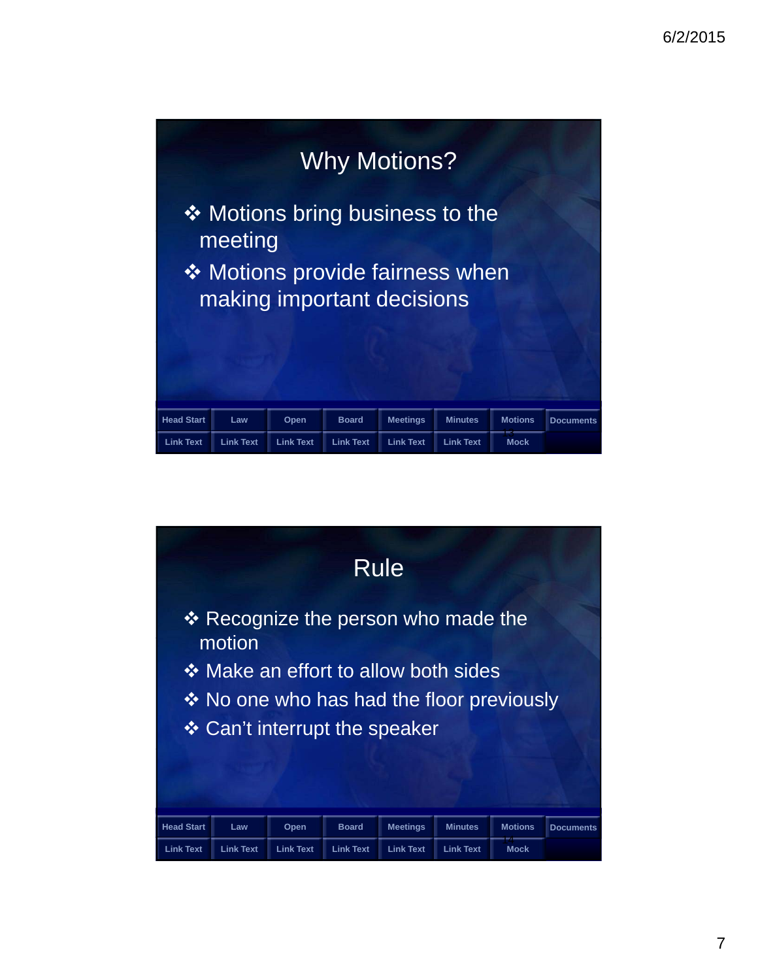

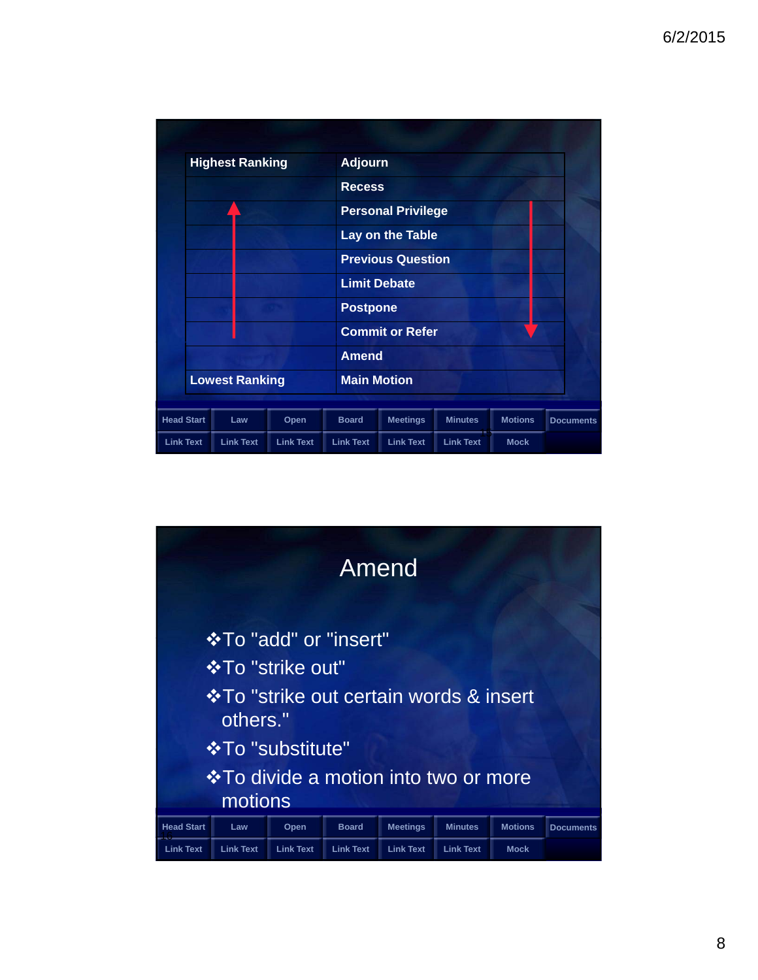

| Amend                                               |                           |                  |                  |                  |                  |                |                  |  |
|-----------------------------------------------------|---------------------------|------------------|------------------|------------------|------------------|----------------|------------------|--|
| <b>☆To "add" or "insert"</b>                        |                           |                  |                  |                  |                  |                |                  |  |
|                                                     | <b>In To "strike out"</b> |                  |                  |                  |                  |                |                  |  |
| ❖ To "strike out certain words & insert<br>others." |                           |                  |                  |                  |                  |                |                  |  |
| <b>☆To "substitute"</b>                             |                           |                  |                  |                  |                  |                |                  |  |
| <b>V</b> • To divide a motion into two or more      |                           |                  |                  |                  |                  |                |                  |  |
| motions                                             |                           |                  |                  |                  |                  |                |                  |  |
| <b>Head Start</b>                                   | Law                       | Open             | <b>Board</b>     | <b>Meetings</b>  | <b>Minutes</b>   | <b>Motions</b> | <b>Documents</b> |  |
| <b>Link Text</b>                                    | <b>Link Text</b>          | <b>Link Text</b> | <b>Link Text</b> | <b>Link Text</b> | <b>Link Text</b> | <b>Mock</b>    |                  |  |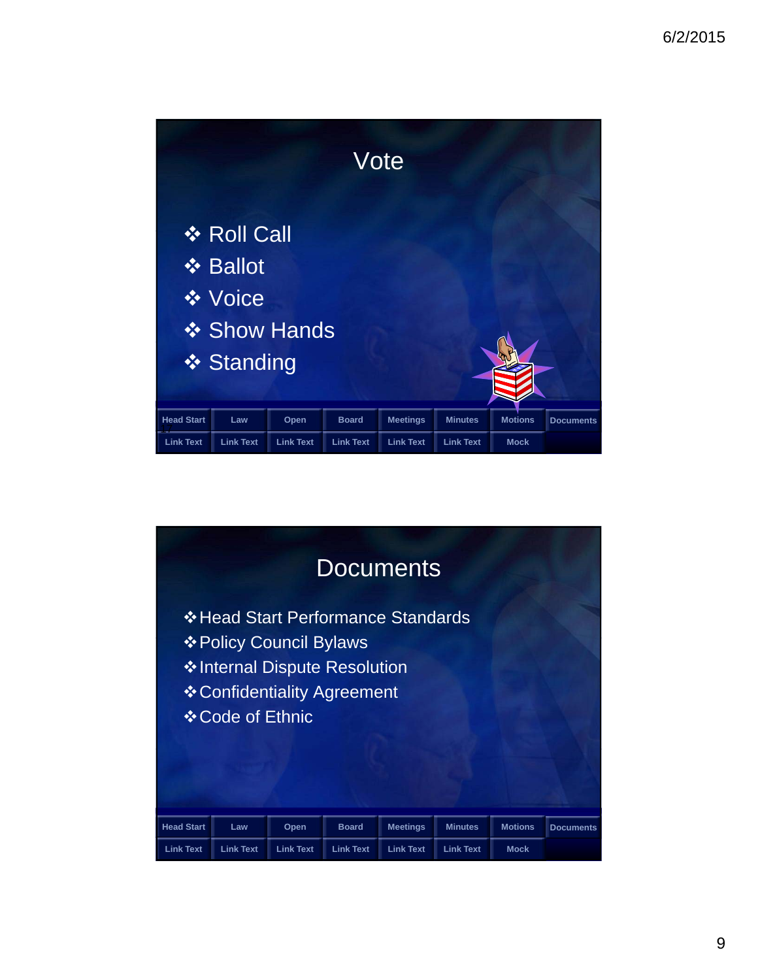

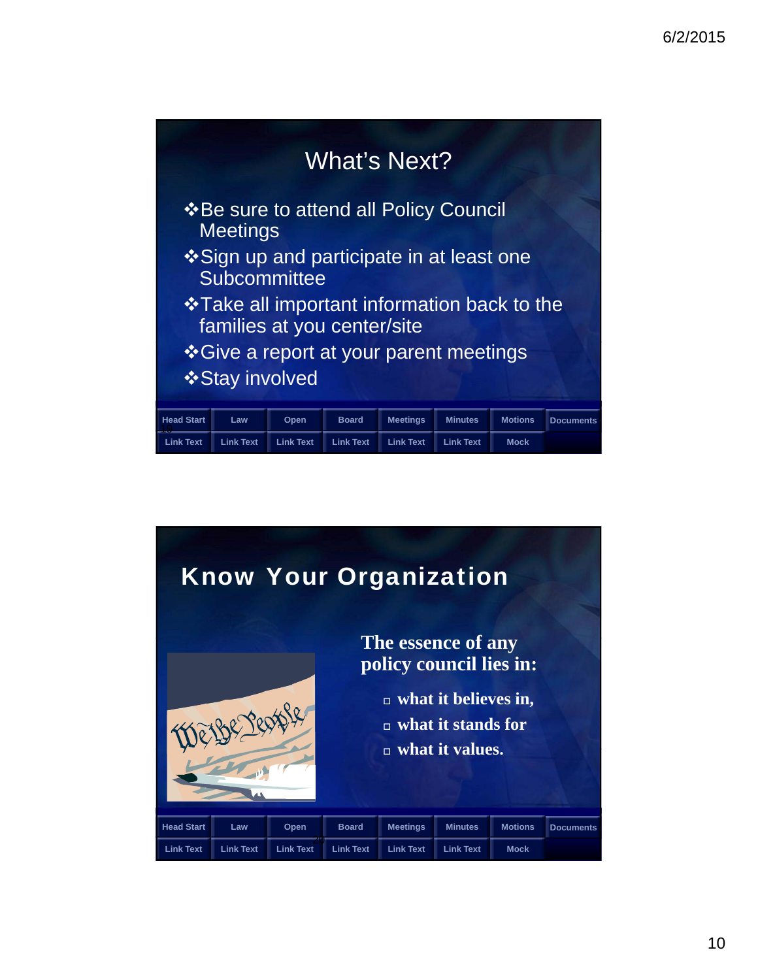